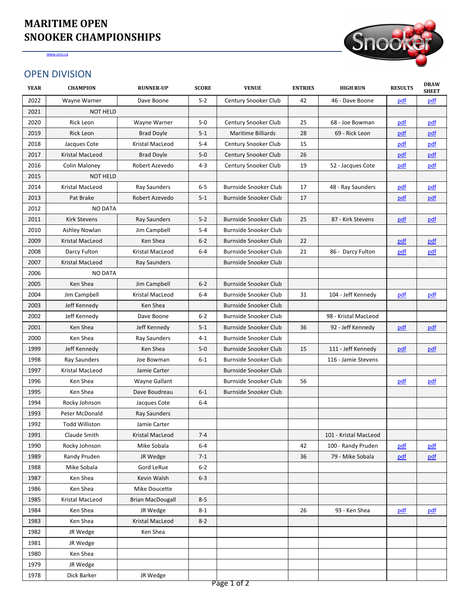| $5-2$<br>2022<br>42<br>Wayne Warner<br><b>Century Snooker Club</b><br>46 - Dave Boone<br><u>pdf</u><br>Dave Boone<br><u>pdf</u><br>2021<br><b>NOT HELD</b><br>$5-0$<br>25<br>2020<br>Rick Leon<br><b>Century Snooker Club</b><br><u>pdf</u><br>Wayne Warner<br>68 - Joe Bowman<br><u>pdf</u><br>Rick Leon<br><b>Brad Doyle</b><br>$5 - 1$<br><b>Maritime Billiards</b><br>28<br>69 - Rick Leon<br>2019<br>pdf<br><u>pdf</u><br><b>Kristal MacLeod</b><br>$5-4$<br>15<br>2018<br>Jacques Cote<br><b>Century Snooker Club</b><br>pdf<br><u>pdf</u><br>26<br><b>Kristal MacLeod</b><br><b>Brad Doyle</b><br>$5-0$<br><b>Century Snooker Club</b><br>2017<br>pdf<br>pdf<br>$4 - 3$<br><b>Century Snooker Club</b><br>19<br>2016<br><b>Colin Maloney</b><br>Robert Azevedo<br>52 - Jacques Cote<br>pdf<br><u>pdf</u><br>2015<br><b>NOT HELD</b><br>$6-5$<br>2014<br><b>Kristal MacLeod</b><br><b>Ray Saunders</b><br><b>Burnside Snooker Club</b><br>17<br>48 - Ray Saunders<br>pdf<br>pdf<br>Pat Brake<br>Robert Azevedo<br>$5 - 1$<br><b>Burnside Snooker Club</b><br>17<br>2013<br>pdf<br>pdf<br><b>NO DATA</b><br>2012<br>$5-2$<br>2011<br><b>Kirk Stevens</b><br><b>Burnside Snooker Club</b><br>25<br>87 - Kirk Stevens<br>pdf<br><b>Ray Saunders</b><br><u>pdf</u><br>2010<br><b>Ashley Nowlan</b><br>Jim Campbell<br>$5-4$<br><b>Burnside Snooker Club</b><br><b>Kristal MacLeod</b><br><b>Ken Shea</b><br>$6 - 2$<br><b>Burnside Snooker Club</b><br>22<br>2009<br>pdf<br>pdf<br><b>Burnside Snooker Club</b><br>2008<br>Darcy Fulton<br><b>Kristal MacLeod</b><br>$6-4$<br>21<br>86 - Darcy Fulton<br>pdf<br><u>pdf</u><br><b>Kristal MacLeod</b><br><b>Burnside Snooker Club</b><br>2007<br><b>Ray Saunders</b><br>2006<br><b>NO DATA</b><br>2005<br>Ken Shea<br>$6 - 2$<br><b>Jim Campbell</b><br><b>Burnside Snooker Club</b><br>31<br>104 - Jeff Kennedy<br>2004<br>Jim Campbell<br><b>Kristal MacLeod</b><br>$6-4$<br><b>Burnside Snooker Club</b><br><u>pdf</u><br><u>pdf</u><br>2003<br>Jeff Kennedy<br>Ken Shea<br><b>Burnside Snooker Club</b><br>2002<br>Jeff Kennedy<br>$6 - 2$<br><b>Burnside Snooker Club</b><br>Dave Boone<br>98 - Kristal MacLeod<br>92 - Jeff Kennedy<br>2001<br>Ken Shea<br>Jeff Kennedy<br>$5-1$<br><b>Burnside Snooker Club</b><br>36<br>pdf<br>pdf<br>2000<br>Ken Shea<br><b>Ray Saunders</b><br><b>Burnside Snooker Club</b><br>$4 - 1$<br>1999<br>Jeff Kennedy<br>Ken Shea<br>$5-0$<br><b>Burnside Snooker Club</b><br>15<br>111 - Jeff Kennedy<br>pdf<br>pdf<br>1998<br><b>Ray Saunders</b><br>$6 - 1$<br><b>Burnside Snooker Club</b><br>116 - Jamie Stevens<br>Joe Bowman<br><b>Burnside Snooker Club</b><br>1997<br><b>Kristal MacLeod</b><br>Jamie Carter<br>56<br>1996<br>Ken Shea<br><b>Wayne Gallant</b><br><b>Burnside Snooker Club</b><br><u>pdf</u><br><u>pdf</u><br>1995<br>Dave Boudreau<br>$6 - 1$<br><b>Burnside Snooker Club</b><br>Ken Shea<br>1994<br>$6-4$<br>Rocky Johnson<br>Jacques Cote<br>1993<br>Peter McDonald<br><b>Ray Saunders</b><br>1992<br><b>Todd Williston</b><br>Jamie Carter<br>1991<br>$7 - 4$<br>101 - Kristal MacLeod<br>Claude Smith<br><b>Kristal MacLeod</b><br>1990<br>Rocky Johnson<br>Mike Sobala<br>$6-4$<br>100 - Randy Pruden<br>42<br><u>pdf</u><br><u>pdf</u><br>79 - Mike Sobala<br>$7-1$<br>1989<br><b>Randy Pruden</b><br>JR Wedge<br>36<br><u>pdf</u><br><u>pdf</u><br>$6 - 2$<br>Mike Sobala<br><b>Gord LeRue</b><br>1988<br>1987<br>Ken Shea<br>Kevin Walsh<br>$6 - 3$<br>1986<br>Ken Shea<br>Mike Doucette<br>Kristal MacLeod<br><b>Brian MacDougall</b><br>$8 - 5$<br>1985<br>Ken Shea<br>93 - Ken Shea<br>1984<br>JR Wedge<br>$8 - 1$<br>26<br>pdf<br>pdf<br>Ken Shea<br>Kristal MacLeod<br>$8 - 2$<br>1983<br>Ken Shea<br>1982<br>JR Wedge<br>JR Wedge<br>1981<br>Ken Shea<br>1980<br>1979<br>JR Wedge<br>Dick Barker<br>1978<br>JR Wedge<br>Page 1 of 2 | <b>YEAR</b> | <b>CHAMPION</b> | <b>RUNNER-UP</b> | <b>SCORE</b> | <b>VENUE</b> | <b>ENTRIES</b> | <b>HIGH RUN</b> | <b>RESULTS</b> | <b>DRAW</b><br><b>SHEET</b> |
|-----------------------------------------------------------------------------------------------------------------------------------------------------------------------------------------------------------------------------------------------------------------------------------------------------------------------------------------------------------------------------------------------------------------------------------------------------------------------------------------------------------------------------------------------------------------------------------------------------------------------------------------------------------------------------------------------------------------------------------------------------------------------------------------------------------------------------------------------------------------------------------------------------------------------------------------------------------------------------------------------------------------------------------------------------------------------------------------------------------------------------------------------------------------------------------------------------------------------------------------------------------------------------------------------------------------------------------------------------------------------------------------------------------------------------------------------------------------------------------------------------------------------------------------------------------------------------------------------------------------------------------------------------------------------------------------------------------------------------------------------------------------------------------------------------------------------------------------------------------------------------------------------------------------------------------------------------------------------------------------------------------------------------------------------------------------------------------------------------------------------------------------------------------------------------------------------------------------------------------------------------------------------------------------------------------------------------------------------------------------------------------------------------------------------------------------------------------------------------------------------------------------------------------------------------------------------------------------------------------------------------------------------------------------------------------------------------------------------------------------------------------------------------------------------------------------------------------------------------------------------------------------------------------------------------------------------------------------------------------------------------------------------------------------------------------------------------------------------------------------------------------------------------------------------------------------------------------------------------------------------------------------------------------------------------------------------------------------------------------------------------------------------------------------------------------------------------------------------------------------------------------------------------------------------------------------------------------------------------------------------------------------------------------------------------------------------------------------------------------------------------------------------------------------------------------------------------------------------------------------|-------------|-----------------|------------------|--------------|--------------|----------------|-----------------|----------------|-----------------------------|
|                                                                                                                                                                                                                                                                                                                                                                                                                                                                                                                                                                                                                                                                                                                                                                                                                                                                                                                                                                                                                                                                                                                                                                                                                                                                                                                                                                                                                                                                                                                                                                                                                                                                                                                                                                                                                                                                                                                                                                                                                                                                                                                                                                                                                                                                                                                                                                                                                                                                                                                                                                                                                                                                                                                                                                                                                                                                                                                                                                                                                                                                                                                                                                                                                                                                                                                                                                                                                                                                                                                                                                                                                                                                                                                                                                                                                                                                 |             |                 |                  |              |              |                |                 |                |                             |
|                                                                                                                                                                                                                                                                                                                                                                                                                                                                                                                                                                                                                                                                                                                                                                                                                                                                                                                                                                                                                                                                                                                                                                                                                                                                                                                                                                                                                                                                                                                                                                                                                                                                                                                                                                                                                                                                                                                                                                                                                                                                                                                                                                                                                                                                                                                                                                                                                                                                                                                                                                                                                                                                                                                                                                                                                                                                                                                                                                                                                                                                                                                                                                                                                                                                                                                                                                                                                                                                                                                                                                                                                                                                                                                                                                                                                                                                 |             |                 |                  |              |              |                |                 |                |                             |
|                                                                                                                                                                                                                                                                                                                                                                                                                                                                                                                                                                                                                                                                                                                                                                                                                                                                                                                                                                                                                                                                                                                                                                                                                                                                                                                                                                                                                                                                                                                                                                                                                                                                                                                                                                                                                                                                                                                                                                                                                                                                                                                                                                                                                                                                                                                                                                                                                                                                                                                                                                                                                                                                                                                                                                                                                                                                                                                                                                                                                                                                                                                                                                                                                                                                                                                                                                                                                                                                                                                                                                                                                                                                                                                                                                                                                                                                 |             |                 |                  |              |              |                |                 |                |                             |
|                                                                                                                                                                                                                                                                                                                                                                                                                                                                                                                                                                                                                                                                                                                                                                                                                                                                                                                                                                                                                                                                                                                                                                                                                                                                                                                                                                                                                                                                                                                                                                                                                                                                                                                                                                                                                                                                                                                                                                                                                                                                                                                                                                                                                                                                                                                                                                                                                                                                                                                                                                                                                                                                                                                                                                                                                                                                                                                                                                                                                                                                                                                                                                                                                                                                                                                                                                                                                                                                                                                                                                                                                                                                                                                                                                                                                                                                 |             |                 |                  |              |              |                |                 |                |                             |
|                                                                                                                                                                                                                                                                                                                                                                                                                                                                                                                                                                                                                                                                                                                                                                                                                                                                                                                                                                                                                                                                                                                                                                                                                                                                                                                                                                                                                                                                                                                                                                                                                                                                                                                                                                                                                                                                                                                                                                                                                                                                                                                                                                                                                                                                                                                                                                                                                                                                                                                                                                                                                                                                                                                                                                                                                                                                                                                                                                                                                                                                                                                                                                                                                                                                                                                                                                                                                                                                                                                                                                                                                                                                                                                                                                                                                                                                 |             |                 |                  |              |              |                |                 |                |                             |
|                                                                                                                                                                                                                                                                                                                                                                                                                                                                                                                                                                                                                                                                                                                                                                                                                                                                                                                                                                                                                                                                                                                                                                                                                                                                                                                                                                                                                                                                                                                                                                                                                                                                                                                                                                                                                                                                                                                                                                                                                                                                                                                                                                                                                                                                                                                                                                                                                                                                                                                                                                                                                                                                                                                                                                                                                                                                                                                                                                                                                                                                                                                                                                                                                                                                                                                                                                                                                                                                                                                                                                                                                                                                                                                                                                                                                                                                 |             |                 |                  |              |              |                |                 |                |                             |
|                                                                                                                                                                                                                                                                                                                                                                                                                                                                                                                                                                                                                                                                                                                                                                                                                                                                                                                                                                                                                                                                                                                                                                                                                                                                                                                                                                                                                                                                                                                                                                                                                                                                                                                                                                                                                                                                                                                                                                                                                                                                                                                                                                                                                                                                                                                                                                                                                                                                                                                                                                                                                                                                                                                                                                                                                                                                                                                                                                                                                                                                                                                                                                                                                                                                                                                                                                                                                                                                                                                                                                                                                                                                                                                                                                                                                                                                 |             |                 |                  |              |              |                |                 |                |                             |
|                                                                                                                                                                                                                                                                                                                                                                                                                                                                                                                                                                                                                                                                                                                                                                                                                                                                                                                                                                                                                                                                                                                                                                                                                                                                                                                                                                                                                                                                                                                                                                                                                                                                                                                                                                                                                                                                                                                                                                                                                                                                                                                                                                                                                                                                                                                                                                                                                                                                                                                                                                                                                                                                                                                                                                                                                                                                                                                                                                                                                                                                                                                                                                                                                                                                                                                                                                                                                                                                                                                                                                                                                                                                                                                                                                                                                                                                 |             |                 |                  |              |              |                |                 |                |                             |
|                                                                                                                                                                                                                                                                                                                                                                                                                                                                                                                                                                                                                                                                                                                                                                                                                                                                                                                                                                                                                                                                                                                                                                                                                                                                                                                                                                                                                                                                                                                                                                                                                                                                                                                                                                                                                                                                                                                                                                                                                                                                                                                                                                                                                                                                                                                                                                                                                                                                                                                                                                                                                                                                                                                                                                                                                                                                                                                                                                                                                                                                                                                                                                                                                                                                                                                                                                                                                                                                                                                                                                                                                                                                                                                                                                                                                                                                 |             |                 |                  |              |              |                |                 |                |                             |
|                                                                                                                                                                                                                                                                                                                                                                                                                                                                                                                                                                                                                                                                                                                                                                                                                                                                                                                                                                                                                                                                                                                                                                                                                                                                                                                                                                                                                                                                                                                                                                                                                                                                                                                                                                                                                                                                                                                                                                                                                                                                                                                                                                                                                                                                                                                                                                                                                                                                                                                                                                                                                                                                                                                                                                                                                                                                                                                                                                                                                                                                                                                                                                                                                                                                                                                                                                                                                                                                                                                                                                                                                                                                                                                                                                                                                                                                 |             |                 |                  |              |              |                |                 |                |                             |
|                                                                                                                                                                                                                                                                                                                                                                                                                                                                                                                                                                                                                                                                                                                                                                                                                                                                                                                                                                                                                                                                                                                                                                                                                                                                                                                                                                                                                                                                                                                                                                                                                                                                                                                                                                                                                                                                                                                                                                                                                                                                                                                                                                                                                                                                                                                                                                                                                                                                                                                                                                                                                                                                                                                                                                                                                                                                                                                                                                                                                                                                                                                                                                                                                                                                                                                                                                                                                                                                                                                                                                                                                                                                                                                                                                                                                                                                 |             |                 |                  |              |              |                |                 |                |                             |
|                                                                                                                                                                                                                                                                                                                                                                                                                                                                                                                                                                                                                                                                                                                                                                                                                                                                                                                                                                                                                                                                                                                                                                                                                                                                                                                                                                                                                                                                                                                                                                                                                                                                                                                                                                                                                                                                                                                                                                                                                                                                                                                                                                                                                                                                                                                                                                                                                                                                                                                                                                                                                                                                                                                                                                                                                                                                                                                                                                                                                                                                                                                                                                                                                                                                                                                                                                                                                                                                                                                                                                                                                                                                                                                                                                                                                                                                 |             |                 |                  |              |              |                |                 |                |                             |
|                                                                                                                                                                                                                                                                                                                                                                                                                                                                                                                                                                                                                                                                                                                                                                                                                                                                                                                                                                                                                                                                                                                                                                                                                                                                                                                                                                                                                                                                                                                                                                                                                                                                                                                                                                                                                                                                                                                                                                                                                                                                                                                                                                                                                                                                                                                                                                                                                                                                                                                                                                                                                                                                                                                                                                                                                                                                                                                                                                                                                                                                                                                                                                                                                                                                                                                                                                                                                                                                                                                                                                                                                                                                                                                                                                                                                                                                 |             |                 |                  |              |              |                |                 |                |                             |
|                                                                                                                                                                                                                                                                                                                                                                                                                                                                                                                                                                                                                                                                                                                                                                                                                                                                                                                                                                                                                                                                                                                                                                                                                                                                                                                                                                                                                                                                                                                                                                                                                                                                                                                                                                                                                                                                                                                                                                                                                                                                                                                                                                                                                                                                                                                                                                                                                                                                                                                                                                                                                                                                                                                                                                                                                                                                                                                                                                                                                                                                                                                                                                                                                                                                                                                                                                                                                                                                                                                                                                                                                                                                                                                                                                                                                                                                 |             |                 |                  |              |              |                |                 |                |                             |
|                                                                                                                                                                                                                                                                                                                                                                                                                                                                                                                                                                                                                                                                                                                                                                                                                                                                                                                                                                                                                                                                                                                                                                                                                                                                                                                                                                                                                                                                                                                                                                                                                                                                                                                                                                                                                                                                                                                                                                                                                                                                                                                                                                                                                                                                                                                                                                                                                                                                                                                                                                                                                                                                                                                                                                                                                                                                                                                                                                                                                                                                                                                                                                                                                                                                                                                                                                                                                                                                                                                                                                                                                                                                                                                                                                                                                                                                 |             |                 |                  |              |              |                |                 |                |                             |
|                                                                                                                                                                                                                                                                                                                                                                                                                                                                                                                                                                                                                                                                                                                                                                                                                                                                                                                                                                                                                                                                                                                                                                                                                                                                                                                                                                                                                                                                                                                                                                                                                                                                                                                                                                                                                                                                                                                                                                                                                                                                                                                                                                                                                                                                                                                                                                                                                                                                                                                                                                                                                                                                                                                                                                                                                                                                                                                                                                                                                                                                                                                                                                                                                                                                                                                                                                                                                                                                                                                                                                                                                                                                                                                                                                                                                                                                 |             |                 |                  |              |              |                |                 |                |                             |
|                                                                                                                                                                                                                                                                                                                                                                                                                                                                                                                                                                                                                                                                                                                                                                                                                                                                                                                                                                                                                                                                                                                                                                                                                                                                                                                                                                                                                                                                                                                                                                                                                                                                                                                                                                                                                                                                                                                                                                                                                                                                                                                                                                                                                                                                                                                                                                                                                                                                                                                                                                                                                                                                                                                                                                                                                                                                                                                                                                                                                                                                                                                                                                                                                                                                                                                                                                                                                                                                                                                                                                                                                                                                                                                                                                                                                                                                 |             |                 |                  |              |              |                |                 |                |                             |
|                                                                                                                                                                                                                                                                                                                                                                                                                                                                                                                                                                                                                                                                                                                                                                                                                                                                                                                                                                                                                                                                                                                                                                                                                                                                                                                                                                                                                                                                                                                                                                                                                                                                                                                                                                                                                                                                                                                                                                                                                                                                                                                                                                                                                                                                                                                                                                                                                                                                                                                                                                                                                                                                                                                                                                                                                                                                                                                                                                                                                                                                                                                                                                                                                                                                                                                                                                                                                                                                                                                                                                                                                                                                                                                                                                                                                                                                 |             |                 |                  |              |              |                |                 |                |                             |
|                                                                                                                                                                                                                                                                                                                                                                                                                                                                                                                                                                                                                                                                                                                                                                                                                                                                                                                                                                                                                                                                                                                                                                                                                                                                                                                                                                                                                                                                                                                                                                                                                                                                                                                                                                                                                                                                                                                                                                                                                                                                                                                                                                                                                                                                                                                                                                                                                                                                                                                                                                                                                                                                                                                                                                                                                                                                                                                                                                                                                                                                                                                                                                                                                                                                                                                                                                                                                                                                                                                                                                                                                                                                                                                                                                                                                                                                 |             |                 |                  |              |              |                |                 |                |                             |
|                                                                                                                                                                                                                                                                                                                                                                                                                                                                                                                                                                                                                                                                                                                                                                                                                                                                                                                                                                                                                                                                                                                                                                                                                                                                                                                                                                                                                                                                                                                                                                                                                                                                                                                                                                                                                                                                                                                                                                                                                                                                                                                                                                                                                                                                                                                                                                                                                                                                                                                                                                                                                                                                                                                                                                                                                                                                                                                                                                                                                                                                                                                                                                                                                                                                                                                                                                                                                                                                                                                                                                                                                                                                                                                                                                                                                                                                 |             |                 |                  |              |              |                |                 |                |                             |
|                                                                                                                                                                                                                                                                                                                                                                                                                                                                                                                                                                                                                                                                                                                                                                                                                                                                                                                                                                                                                                                                                                                                                                                                                                                                                                                                                                                                                                                                                                                                                                                                                                                                                                                                                                                                                                                                                                                                                                                                                                                                                                                                                                                                                                                                                                                                                                                                                                                                                                                                                                                                                                                                                                                                                                                                                                                                                                                                                                                                                                                                                                                                                                                                                                                                                                                                                                                                                                                                                                                                                                                                                                                                                                                                                                                                                                                                 |             |                 |                  |              |              |                |                 |                |                             |
|                                                                                                                                                                                                                                                                                                                                                                                                                                                                                                                                                                                                                                                                                                                                                                                                                                                                                                                                                                                                                                                                                                                                                                                                                                                                                                                                                                                                                                                                                                                                                                                                                                                                                                                                                                                                                                                                                                                                                                                                                                                                                                                                                                                                                                                                                                                                                                                                                                                                                                                                                                                                                                                                                                                                                                                                                                                                                                                                                                                                                                                                                                                                                                                                                                                                                                                                                                                                                                                                                                                                                                                                                                                                                                                                                                                                                                                                 |             |                 |                  |              |              |                |                 |                |                             |
|                                                                                                                                                                                                                                                                                                                                                                                                                                                                                                                                                                                                                                                                                                                                                                                                                                                                                                                                                                                                                                                                                                                                                                                                                                                                                                                                                                                                                                                                                                                                                                                                                                                                                                                                                                                                                                                                                                                                                                                                                                                                                                                                                                                                                                                                                                                                                                                                                                                                                                                                                                                                                                                                                                                                                                                                                                                                                                                                                                                                                                                                                                                                                                                                                                                                                                                                                                                                                                                                                                                                                                                                                                                                                                                                                                                                                                                                 |             |                 |                  |              |              |                |                 |                |                             |
|                                                                                                                                                                                                                                                                                                                                                                                                                                                                                                                                                                                                                                                                                                                                                                                                                                                                                                                                                                                                                                                                                                                                                                                                                                                                                                                                                                                                                                                                                                                                                                                                                                                                                                                                                                                                                                                                                                                                                                                                                                                                                                                                                                                                                                                                                                                                                                                                                                                                                                                                                                                                                                                                                                                                                                                                                                                                                                                                                                                                                                                                                                                                                                                                                                                                                                                                                                                                                                                                                                                                                                                                                                                                                                                                                                                                                                                                 |             |                 |                  |              |              |                |                 |                |                             |
|                                                                                                                                                                                                                                                                                                                                                                                                                                                                                                                                                                                                                                                                                                                                                                                                                                                                                                                                                                                                                                                                                                                                                                                                                                                                                                                                                                                                                                                                                                                                                                                                                                                                                                                                                                                                                                                                                                                                                                                                                                                                                                                                                                                                                                                                                                                                                                                                                                                                                                                                                                                                                                                                                                                                                                                                                                                                                                                                                                                                                                                                                                                                                                                                                                                                                                                                                                                                                                                                                                                                                                                                                                                                                                                                                                                                                                                                 |             |                 |                  |              |              |                |                 |                |                             |
|                                                                                                                                                                                                                                                                                                                                                                                                                                                                                                                                                                                                                                                                                                                                                                                                                                                                                                                                                                                                                                                                                                                                                                                                                                                                                                                                                                                                                                                                                                                                                                                                                                                                                                                                                                                                                                                                                                                                                                                                                                                                                                                                                                                                                                                                                                                                                                                                                                                                                                                                                                                                                                                                                                                                                                                                                                                                                                                                                                                                                                                                                                                                                                                                                                                                                                                                                                                                                                                                                                                                                                                                                                                                                                                                                                                                                                                                 |             |                 |                  |              |              |                |                 |                |                             |
|                                                                                                                                                                                                                                                                                                                                                                                                                                                                                                                                                                                                                                                                                                                                                                                                                                                                                                                                                                                                                                                                                                                                                                                                                                                                                                                                                                                                                                                                                                                                                                                                                                                                                                                                                                                                                                                                                                                                                                                                                                                                                                                                                                                                                                                                                                                                                                                                                                                                                                                                                                                                                                                                                                                                                                                                                                                                                                                                                                                                                                                                                                                                                                                                                                                                                                                                                                                                                                                                                                                                                                                                                                                                                                                                                                                                                                                                 |             |                 |                  |              |              |                |                 |                |                             |
|                                                                                                                                                                                                                                                                                                                                                                                                                                                                                                                                                                                                                                                                                                                                                                                                                                                                                                                                                                                                                                                                                                                                                                                                                                                                                                                                                                                                                                                                                                                                                                                                                                                                                                                                                                                                                                                                                                                                                                                                                                                                                                                                                                                                                                                                                                                                                                                                                                                                                                                                                                                                                                                                                                                                                                                                                                                                                                                                                                                                                                                                                                                                                                                                                                                                                                                                                                                                                                                                                                                                                                                                                                                                                                                                                                                                                                                                 |             |                 |                  |              |              |                |                 |                |                             |
|                                                                                                                                                                                                                                                                                                                                                                                                                                                                                                                                                                                                                                                                                                                                                                                                                                                                                                                                                                                                                                                                                                                                                                                                                                                                                                                                                                                                                                                                                                                                                                                                                                                                                                                                                                                                                                                                                                                                                                                                                                                                                                                                                                                                                                                                                                                                                                                                                                                                                                                                                                                                                                                                                                                                                                                                                                                                                                                                                                                                                                                                                                                                                                                                                                                                                                                                                                                                                                                                                                                                                                                                                                                                                                                                                                                                                                                                 |             |                 |                  |              |              |                |                 |                |                             |
|                                                                                                                                                                                                                                                                                                                                                                                                                                                                                                                                                                                                                                                                                                                                                                                                                                                                                                                                                                                                                                                                                                                                                                                                                                                                                                                                                                                                                                                                                                                                                                                                                                                                                                                                                                                                                                                                                                                                                                                                                                                                                                                                                                                                                                                                                                                                                                                                                                                                                                                                                                                                                                                                                                                                                                                                                                                                                                                                                                                                                                                                                                                                                                                                                                                                                                                                                                                                                                                                                                                                                                                                                                                                                                                                                                                                                                                                 |             |                 |                  |              |              |                |                 |                |                             |
|                                                                                                                                                                                                                                                                                                                                                                                                                                                                                                                                                                                                                                                                                                                                                                                                                                                                                                                                                                                                                                                                                                                                                                                                                                                                                                                                                                                                                                                                                                                                                                                                                                                                                                                                                                                                                                                                                                                                                                                                                                                                                                                                                                                                                                                                                                                                                                                                                                                                                                                                                                                                                                                                                                                                                                                                                                                                                                                                                                                                                                                                                                                                                                                                                                                                                                                                                                                                                                                                                                                                                                                                                                                                                                                                                                                                                                                                 |             |                 |                  |              |              |                |                 |                |                             |
|                                                                                                                                                                                                                                                                                                                                                                                                                                                                                                                                                                                                                                                                                                                                                                                                                                                                                                                                                                                                                                                                                                                                                                                                                                                                                                                                                                                                                                                                                                                                                                                                                                                                                                                                                                                                                                                                                                                                                                                                                                                                                                                                                                                                                                                                                                                                                                                                                                                                                                                                                                                                                                                                                                                                                                                                                                                                                                                                                                                                                                                                                                                                                                                                                                                                                                                                                                                                                                                                                                                                                                                                                                                                                                                                                                                                                                                                 |             |                 |                  |              |              |                |                 |                |                             |
|                                                                                                                                                                                                                                                                                                                                                                                                                                                                                                                                                                                                                                                                                                                                                                                                                                                                                                                                                                                                                                                                                                                                                                                                                                                                                                                                                                                                                                                                                                                                                                                                                                                                                                                                                                                                                                                                                                                                                                                                                                                                                                                                                                                                                                                                                                                                                                                                                                                                                                                                                                                                                                                                                                                                                                                                                                                                                                                                                                                                                                                                                                                                                                                                                                                                                                                                                                                                                                                                                                                                                                                                                                                                                                                                                                                                                                                                 |             |                 |                  |              |              |                |                 |                |                             |
|                                                                                                                                                                                                                                                                                                                                                                                                                                                                                                                                                                                                                                                                                                                                                                                                                                                                                                                                                                                                                                                                                                                                                                                                                                                                                                                                                                                                                                                                                                                                                                                                                                                                                                                                                                                                                                                                                                                                                                                                                                                                                                                                                                                                                                                                                                                                                                                                                                                                                                                                                                                                                                                                                                                                                                                                                                                                                                                                                                                                                                                                                                                                                                                                                                                                                                                                                                                                                                                                                                                                                                                                                                                                                                                                                                                                                                                                 |             |                 |                  |              |              |                |                 |                |                             |
|                                                                                                                                                                                                                                                                                                                                                                                                                                                                                                                                                                                                                                                                                                                                                                                                                                                                                                                                                                                                                                                                                                                                                                                                                                                                                                                                                                                                                                                                                                                                                                                                                                                                                                                                                                                                                                                                                                                                                                                                                                                                                                                                                                                                                                                                                                                                                                                                                                                                                                                                                                                                                                                                                                                                                                                                                                                                                                                                                                                                                                                                                                                                                                                                                                                                                                                                                                                                                                                                                                                                                                                                                                                                                                                                                                                                                                                                 |             |                 |                  |              |              |                |                 |                |                             |
|                                                                                                                                                                                                                                                                                                                                                                                                                                                                                                                                                                                                                                                                                                                                                                                                                                                                                                                                                                                                                                                                                                                                                                                                                                                                                                                                                                                                                                                                                                                                                                                                                                                                                                                                                                                                                                                                                                                                                                                                                                                                                                                                                                                                                                                                                                                                                                                                                                                                                                                                                                                                                                                                                                                                                                                                                                                                                                                                                                                                                                                                                                                                                                                                                                                                                                                                                                                                                                                                                                                                                                                                                                                                                                                                                                                                                                                                 |             |                 |                  |              |              |                |                 |                |                             |
|                                                                                                                                                                                                                                                                                                                                                                                                                                                                                                                                                                                                                                                                                                                                                                                                                                                                                                                                                                                                                                                                                                                                                                                                                                                                                                                                                                                                                                                                                                                                                                                                                                                                                                                                                                                                                                                                                                                                                                                                                                                                                                                                                                                                                                                                                                                                                                                                                                                                                                                                                                                                                                                                                                                                                                                                                                                                                                                                                                                                                                                                                                                                                                                                                                                                                                                                                                                                                                                                                                                                                                                                                                                                                                                                                                                                                                                                 |             |                 |                  |              |              |                |                 |                |                             |
|                                                                                                                                                                                                                                                                                                                                                                                                                                                                                                                                                                                                                                                                                                                                                                                                                                                                                                                                                                                                                                                                                                                                                                                                                                                                                                                                                                                                                                                                                                                                                                                                                                                                                                                                                                                                                                                                                                                                                                                                                                                                                                                                                                                                                                                                                                                                                                                                                                                                                                                                                                                                                                                                                                                                                                                                                                                                                                                                                                                                                                                                                                                                                                                                                                                                                                                                                                                                                                                                                                                                                                                                                                                                                                                                                                                                                                                                 |             |                 |                  |              |              |                |                 |                |                             |
|                                                                                                                                                                                                                                                                                                                                                                                                                                                                                                                                                                                                                                                                                                                                                                                                                                                                                                                                                                                                                                                                                                                                                                                                                                                                                                                                                                                                                                                                                                                                                                                                                                                                                                                                                                                                                                                                                                                                                                                                                                                                                                                                                                                                                                                                                                                                                                                                                                                                                                                                                                                                                                                                                                                                                                                                                                                                                                                                                                                                                                                                                                                                                                                                                                                                                                                                                                                                                                                                                                                                                                                                                                                                                                                                                                                                                                                                 |             |                 |                  |              |              |                |                 |                |                             |
|                                                                                                                                                                                                                                                                                                                                                                                                                                                                                                                                                                                                                                                                                                                                                                                                                                                                                                                                                                                                                                                                                                                                                                                                                                                                                                                                                                                                                                                                                                                                                                                                                                                                                                                                                                                                                                                                                                                                                                                                                                                                                                                                                                                                                                                                                                                                                                                                                                                                                                                                                                                                                                                                                                                                                                                                                                                                                                                                                                                                                                                                                                                                                                                                                                                                                                                                                                                                                                                                                                                                                                                                                                                                                                                                                                                                                                                                 |             |                 |                  |              |              |                |                 |                |                             |
|                                                                                                                                                                                                                                                                                                                                                                                                                                                                                                                                                                                                                                                                                                                                                                                                                                                                                                                                                                                                                                                                                                                                                                                                                                                                                                                                                                                                                                                                                                                                                                                                                                                                                                                                                                                                                                                                                                                                                                                                                                                                                                                                                                                                                                                                                                                                                                                                                                                                                                                                                                                                                                                                                                                                                                                                                                                                                                                                                                                                                                                                                                                                                                                                                                                                                                                                                                                                                                                                                                                                                                                                                                                                                                                                                                                                                                                                 |             |                 |                  |              |              |                |                 |                |                             |
|                                                                                                                                                                                                                                                                                                                                                                                                                                                                                                                                                                                                                                                                                                                                                                                                                                                                                                                                                                                                                                                                                                                                                                                                                                                                                                                                                                                                                                                                                                                                                                                                                                                                                                                                                                                                                                                                                                                                                                                                                                                                                                                                                                                                                                                                                                                                                                                                                                                                                                                                                                                                                                                                                                                                                                                                                                                                                                                                                                                                                                                                                                                                                                                                                                                                                                                                                                                                                                                                                                                                                                                                                                                                                                                                                                                                                                                                 |             |                 |                  |              |              |                |                 |                |                             |
|                                                                                                                                                                                                                                                                                                                                                                                                                                                                                                                                                                                                                                                                                                                                                                                                                                                                                                                                                                                                                                                                                                                                                                                                                                                                                                                                                                                                                                                                                                                                                                                                                                                                                                                                                                                                                                                                                                                                                                                                                                                                                                                                                                                                                                                                                                                                                                                                                                                                                                                                                                                                                                                                                                                                                                                                                                                                                                                                                                                                                                                                                                                                                                                                                                                                                                                                                                                                                                                                                                                                                                                                                                                                                                                                                                                                                                                                 |             |                 |                  |              |              |                |                 |                |                             |
|                                                                                                                                                                                                                                                                                                                                                                                                                                                                                                                                                                                                                                                                                                                                                                                                                                                                                                                                                                                                                                                                                                                                                                                                                                                                                                                                                                                                                                                                                                                                                                                                                                                                                                                                                                                                                                                                                                                                                                                                                                                                                                                                                                                                                                                                                                                                                                                                                                                                                                                                                                                                                                                                                                                                                                                                                                                                                                                                                                                                                                                                                                                                                                                                                                                                                                                                                                                                                                                                                                                                                                                                                                                                                                                                                                                                                                                                 |             |                 |                  |              |              |                |                 |                |                             |
|                                                                                                                                                                                                                                                                                                                                                                                                                                                                                                                                                                                                                                                                                                                                                                                                                                                                                                                                                                                                                                                                                                                                                                                                                                                                                                                                                                                                                                                                                                                                                                                                                                                                                                                                                                                                                                                                                                                                                                                                                                                                                                                                                                                                                                                                                                                                                                                                                                                                                                                                                                                                                                                                                                                                                                                                                                                                                                                                                                                                                                                                                                                                                                                                                                                                                                                                                                                                                                                                                                                                                                                                                                                                                                                                                                                                                                                                 |             |                 |                  |              |              |                |                 |                |                             |



## **MARITIME OPEN SNOOKER CHAMPIONSHIPS**

[www.csns.ca](http://www.csns.ca/)

## OPEN DIVISION